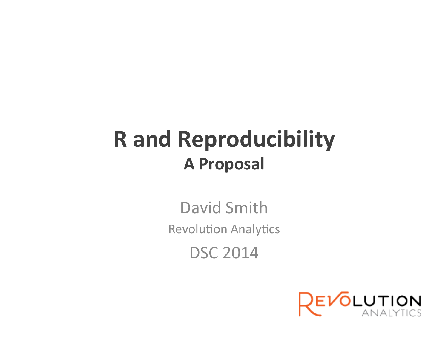#### **R** and Reproducibility **A Proposal**

David Smith **Revolution Analytics** DSC 2014

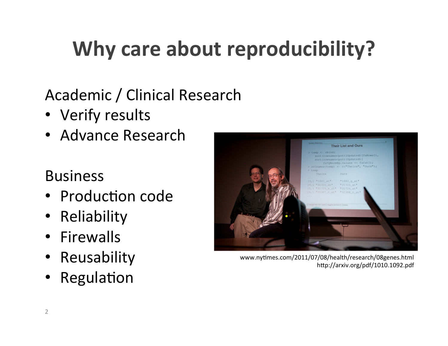# **Why care about reproducibility?**

Academic / Clinical Research

- Verify results
- Advance Research

#### Business

- Production code
- **Reliability**
- Firewalls
- Reusability
- Regulation



www.nytimes.com/2011/07/08/health/research/08genes.html http://arxiv.org/pdf/1010.1092.pdf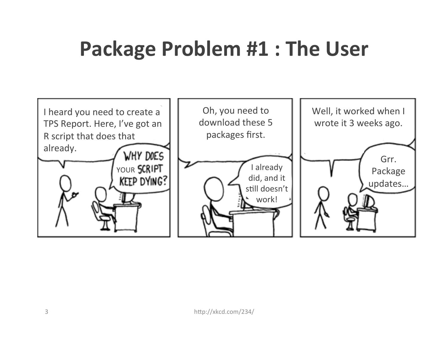# **Package Problem #1: The User**

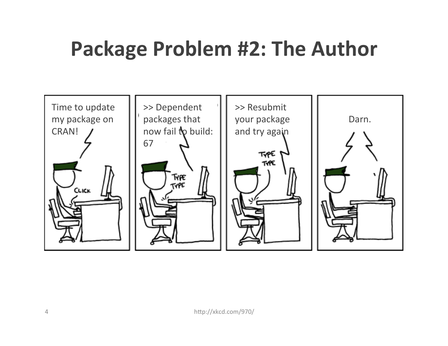### **Package Problem #2: The Author**

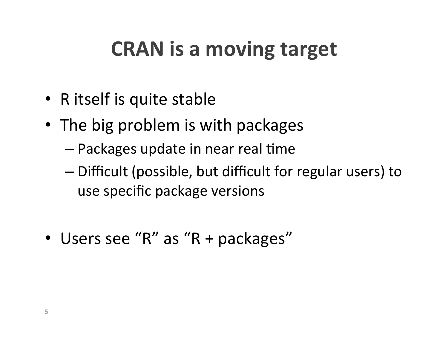# **CRAN** is a moving target

- R itself is quite stable
- The big problem is with packages
	- $-$  Packages update in near real time
	- $-$  Difficult (possible, but difficult for regular users) to use specific package versions
- Users see "R" as "R + packages"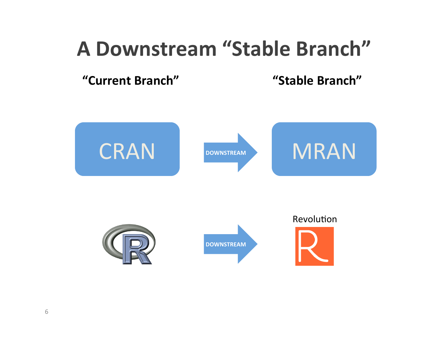#### **A Downstream "Stable Branch"**

**"Current Branch" "Stable Branch"** 

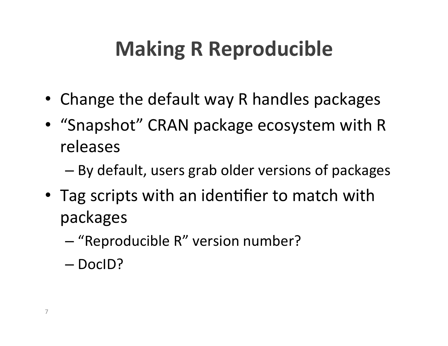# **Making R Reproducible**

- Change the default way R handles packages
- "Snapshot" CRAN package ecosystem with R releases
	- $-$  By default, users grab older versions of packages
- Tag scripts with an identifier to match with packages
	- "Reproducible R" version number?
	- DocID?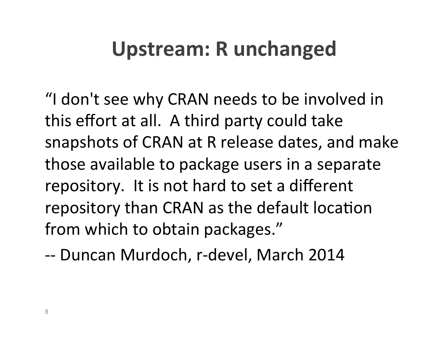### Upstream: R unchanged

"I don't see why CRAN needs to be involved in this effort at all. A third party could take snapshots of CRAN at R release dates, and make those available to package users in a separate repository. It is not hard to set a different repository than CRAN as the default location from which to obtain packages."

-- Duncan Murdoch, r-devel, March 2014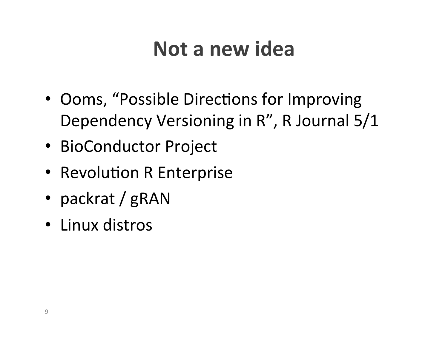### **Not a new idea**

- Ooms, "Possible Directions for Improving Dependency Versioning in R", R Journal 5/1
- BioConductor Project
- Revolution R Enterprise
- packrat / gRAN
- Linux distros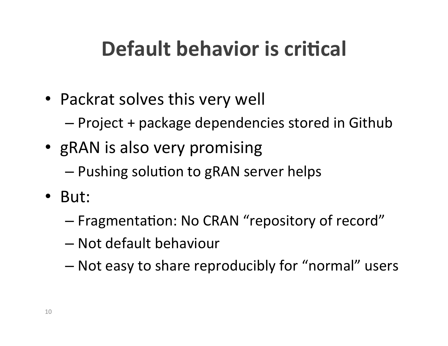# **Default behavior is critical**

- Packrat solves this very well
	- $-$  Project + package dependencies stored in Github
- gRAN is also very promising
	- $-$  Pushing solution to gRAN server helps
- But:
	- $-$  Fragmentation: No CRAN "repository of record"
	- Not default behaviour
	- $-$  Not easy to share reproducibly for "normal" users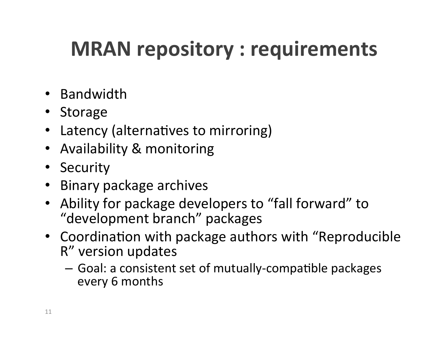# **MRAN** repository : requirements

- Bandwidth
- Storage
- Latency (alternatives to mirroring)
- Availability & monitoring
- Security
- Binary package archives
- Ability for package developers to "fall forward" to "development branch" packages
- Coordination with package authors with "Reproducible" R" version updates
	- $-$  Goal: a consistent set of mutually-compatible packages every 6 months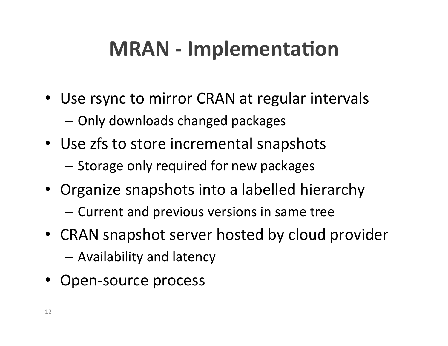# **MRAN** - Implementation

- Use rsync to mirror CRAN at regular intervals
	- Only downloads changed packages
- Use zfs to store incremental snapshots  $-$  Storage only required for new packages
- Organize snapshots into a labelled hierarchy
	- Current and previous versions in same tree
- CRAN snapshot server hosted by cloud provider
	- $-$  Availability and latency
- Open-source process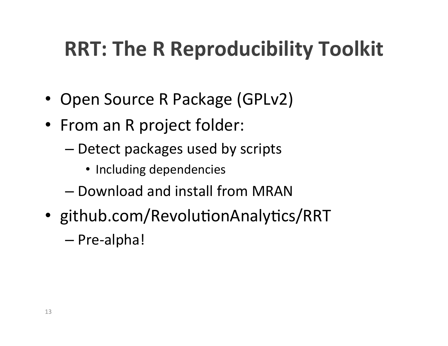# **RRT: The R Reproducibility Toolkit**

- Open Source R Package (GPLv2)
- From an R project folder:
	- $-$  Detect packages used by scripts
		- Including dependencies
	- Download and install from MRAN
- github.com/RevolutionAnalytics/RRT

– Pre-alpha!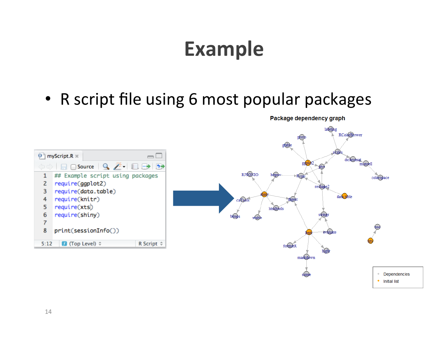### **Example**

• R script file using 6 most popular packages





Package dependency graph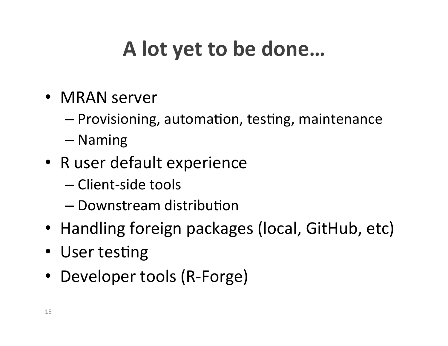# A lot yet to be done...

- MRAN server
	- $-$  Provisioning, automation, testing, maintenance
	- Naming
- R user default experience
	- Client-side tools
	- $-$  Downstream distribution
- Handling foreign packages (local, GitHub, etc)
- User testing
- Developer tools (R-Forge)